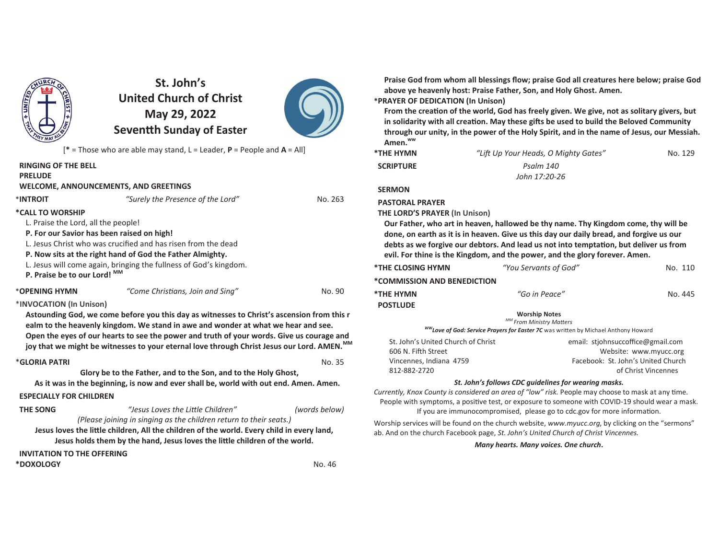

# **St. John's United Church of ChristMay 29, 2022Seven!h Sunday of Easter**



[**\*** = Those who are able may stand, L = Leader, **P** = People and **A** = All]

| <b>RINGING OF THE BELL</b><br><b>PRELUDE</b><br><b>WELCOME, ANNOUNCEMENTS, AND GREETINGS</b> |                                                                                                                   |         |
|----------------------------------------------------------------------------------------------|-------------------------------------------------------------------------------------------------------------------|---------|
| *INTROIT                                                                                     | "Surely the Presence of the Lord"                                                                                 | No. 263 |
| *CALL TO WORSHIP                                                                             |                                                                                                                   |         |
| L. Praise the Lord, all the people!                                                          |                                                                                                                   |         |
| P. For our Savior has been raised on high!                                                   |                                                                                                                   |         |
|                                                                                              | L. Jesus Christ who was crucified and has risen from the dead                                                     |         |
|                                                                                              | P. Now sits at the right hand of God the Father Almighty.                                                         |         |
|                                                                                              | L. Jesus will come again, bringing the fullness of God's kingdom.                                                 |         |
| P. Praise be to our Lord! MM                                                                 |                                                                                                                   |         |
| *OPENING HYMN                                                                                | "Come Christians, Join and Sing"                                                                                  | No. 90  |
| *INVOCATION (In Unison)                                                                      |                                                                                                                   |         |
|                                                                                              | وزواق ويرميه وروزاه ويوموهم والمشاوا والمتحدد ومستقارين ومراردها والمسترد وستأورها وامسم والمراري والمتار وسيوفوه |         |

**Astounding God, we come before you this day as witnesses to Christ's ascension from this realm to the heavenly kingdom. We stand in awe and wonder at what we hear and see. Open the eyes of our hearts to see the power and truth of your words. Give us courage and joy that we might be witnesses to your eternal love through Christ Jesus our Lord. AMEN.MM**

#### \***GLORIA PATRI**

**No. 35** No. 35 **Glory be to the Father, and to the Son, and to the Holy Ghost,As it was in the beginning, is now and ever shall be, world with out end. Amen. Amen.**

#### **ESPECIALLY FOR CHILDREN**

| <b>THE SONG</b>  | "Jesus Loves the Little Children"                                                          | (words below) |
|------------------|--------------------------------------------------------------------------------------------|---------------|
|                  | (Please joining in singing as the children return to their seats.)                         |               |
|                  | Jesus loves the little children, All the children of the world. Every child in every land, |               |
|                  | Jesus holds them by the hand, Jesus loves the little children of the world.                |               |
|                  | <b>INVITATION TO THE OFFERING</b>                                                          |               |
| <b>*DOXOLOGY</b> |                                                                                            | No. 46        |
|                  |                                                                                            |               |

**Praise God from whom all blessings flow; praise God all creatures here below; praise God above ye heavenly host: Praise Father, Son, and Holy Ghost. Amen.**

### **\*PRAYER OF DEDICATION (In Unison)**

From the creation of the world, God has freely given. We give, not as solitary givers, but in solidarity with all creation. May these gifts be used to build the Beloved Community **through our unity, in the power of the Holy Spirit, and in the name of Jesus, our Messiah. Amen.ww**

| *THE HYMN        | "Lift Up Your Heads, O Mighty Gates" | No. 129 |
|------------------|--------------------------------------|---------|
| <b>SCRIPTURE</b> | Psalm 140                            |         |
|                  | John 17:20-26                        |         |

 **SERMON**

 **PASTORAL PRAYER**

 **THE LORD'S PRAYER (In Unison)**

 **Our Father, who art in heaven, hallowed be thy name. Thy Kingdom come, thy will be done, on earth as it is in heaven. Give us this day our daily bread, and forgive us our** debts as we forgive our debtors. And lead us not into temptation, but deliver us from **evil. For thine is the Kingdom, and the power, and the glory forever. Amen.**

| <b>*THE CLOSING HYMN</b>                                      | "You Servants of God"                                                                                                                              | No. 110                                      |
|---------------------------------------------------------------|----------------------------------------------------------------------------------------------------------------------------------------------------|----------------------------------------------|
| *COMMISSION AND BENEDICTION                                   |                                                                                                                                                    |                                              |
| *THE HYMN                                                     | "Go in Peace"                                                                                                                                      | No. 445                                      |
| <b>POSTLUDE</b>                                               |                                                                                                                                                    |                                              |
|                                                               | <b>Worship Notes</b><br>MM From Ministry Matters<br><sup>WW</sup> Love of God: Service Prayers for Easter 7C was written by Michael Anthony Howard |                                              |
| St. John's United Church of Christ<br>$COC$ $N$ $E:4h$ $C+3h$ |                                                                                                                                                    | email: stjohnsuccoffice@gmail.com<br>Mahainn |

| זנו ווט וט ווויש שטווונט של ווויטנ | Childri, stjornisacconnect® grildilitorii |
|------------------------------------|-------------------------------------------|
| 606 N. Fifth Street                | Website: www.myucc.org                    |
| Vincennes. Indiana 4759            | Facebook: St. John's United Church        |
| 812-882-2720                       | of Christ Vincennes                       |
|                                    |                                           |

#### *St. John's follows CDC guidelines for wearing masks.*

*Currently, Knox County is considered an area of "low" risk. People may choose to mask at any time.* People with symptoms, a positive test, or exposure to someone with COVID-19 should wear a mask. If you are immunocompromised, please go to cdc.gov for more information.

Worship services will be found on the church website, *www.myucc.org*, by clicking on the "sermons" ab. And on the church Facebook page, *St. John's United Church of Christ Vincennes.*

*Many hearts. Many voices. One church***.**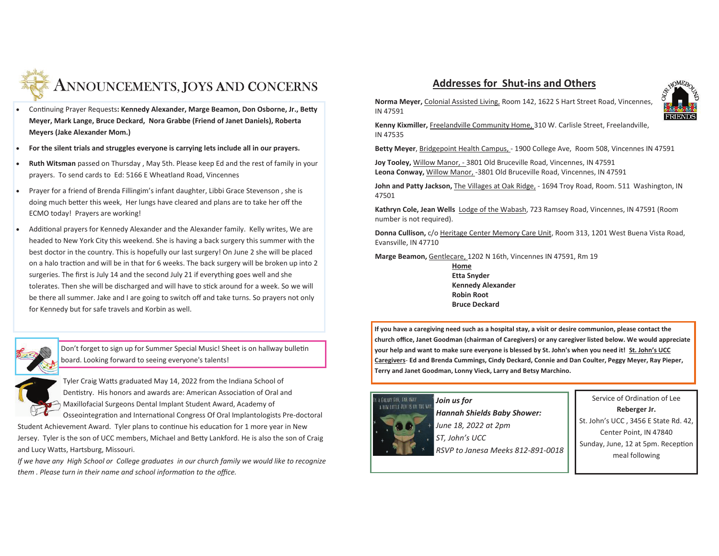

- Continuing Prayer Requests: Kennedy Alexander, Marge Beamon, Don Osborne, Jr., Betty **Meyer, Mark Lange, Bruce Deckard, Nora Grabbe (Friend of Janet Daniels), Roberta Meyers (Jake Alexander Mom.)**
- · **For the silent trials and struggles everyone is carrying lets include all in our prayers.**
- · **Ruth Witsman** passed on Thursday , May 5th. Please keep Ed and the rest of family in your prayers. To send cards to Ed: 5166 E Wheatland Road, Vincennes
- · Prayer for a friend of Brenda Fillingim's infant daughter, Libbi Grace Stevenson , she is doing much better this week, Her lungs have cleared and plans are to take her off the ECMO today! Prayers are working!
- Additional prayers for Kennedy Alexander and the Alexander family. Kelly writes, We are headed to New York City this weekend. She is having a back surgery this summer with the best doctor in the country. This is hopefully our last surgery! On June 2 she will be placed on a halo traction and will be in that for 6 weeks. The back surgery will be broken up into 2  $\,$ surgeries. The first is July 14 and the second July 21 if everything goes well and she tolerates. Then she will be discharged and will have to stick around for a week. So we will be there all summer. Jake and I are going to switch off and take turns. So prayers not only for Kennedy but for safe travels and Korbin as well.

Don't forget to sign up for Summer Special Music! Sheet is on hallway bulletin board. Looking forward to seeing everyone's talents!

Tyler Craig Watts graduated May 14, 2022 from the Indiana School of Dentistry. His honors and awards are: American Association of Oral and  $\ominus$  Maxillofacial Surgeons Dental Implant Student Award, Academy of

Osseointegration and International Congress Of Oral Implantologists Pre-doctoral Student Achievement Award. Tyler plans to continue his education for 1 more year in New Jersey. Tyler is the son of UCC members, Michael and Betty Lankford. He is also the son of Craig and Lucy Watts, Hartsburg, Missouri.

*If we have any High School or College graduates in our church family we would like to recognize them . Please turn in their name and school information to the office.* 

# **Addresses for Shut-ins and Others**



**Norma Meyer,** Colonial Assisted Living, Room 142, 1622 S Hart Street Road, Vincennes, IN 47591

**Kenny Kixmiller,** Freelandville Community Home, 310 W. Carlisle Street, Freelandville, IN 47535

**Betty Meyer**, Bridgepoint Health Campus, - 1900 College Ave, Room 508, Vincennes IN 47591

**Joy Tooley,** Willow Manor, - 3801 Old Bruceville Road, Vincennes, IN 47591**Leona Conway,** Willow Manor, -3801 Old Bruceville Road, Vincennes, IN 47591

**John and Patty Jackson,** The Villages at Oak Ridge, - 1694 Troy Road, Room. 511 Washington, IN 47501

**Kathryn Cole, Jean Wells** Lodge of the Wabash, 723 Ramsey Road, Vincennes, IN 47591 (Room number is not required).

**Donna Cullison,** c/o Heritage Center Memory Care Unit, Room 313, 1201 West Buena Vista Road,Evansville, IN 47710

**Marge Beamon,** Gentlecare, 1202 N 16th, Vincennes IN 47591, Rm 19

**Home Etta Snyder Kennedy AlexanderRobin RootBruce Deckard**

**If you have a caregiving need such as a hospital stay, a visit or desire communion, please contact the church office, Janet Goodman (chairman of Caregivers) or any caregiver listed below. We would appreciate your help and want to make sure everyone is blessed by St. John's when you need it! St. John's UCC Caregivers**- **Ed and Brenda Cummings, Cindy Deckard, Connie and Dan Coulter, Peggy Meyer, Ray Pieper, Terry and Janet Goodman, Lonny Vieck, Larry and Betsy Marchino.** 

# A NEW LITTLE JEDI IS ON THE WAY

*Join us for Hannah Shields Baby Shower: June 18, 2022 at 2pmST, John's UCC* 

*RSVP to Janesa Meeks 812-891-0018*

Service of Ordination of Lee **Reberger Jr.** St. John's UCC , 3456 E State Rd. 42, Center Point, IN 47840Sunday, June, 12 at 5pm. Reception meal following